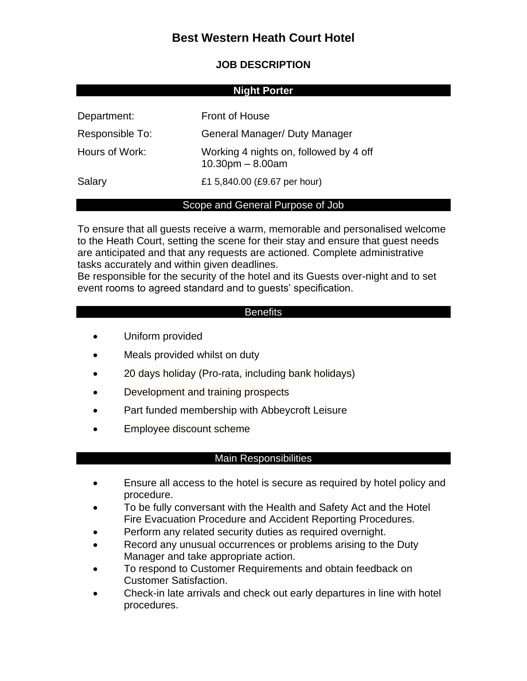# **Best Western Heath Court Hotel**

# **JOB DESCRIPTION**

#### **Night Porter**

| Department:     | <b>Front of House</b>                                            |
|-----------------|------------------------------------------------------------------|
| Responsible To: | General Manager/ Duty Manager                                    |
| Hours of Work:  | Working 4 nights on, followed by 4 off<br>$10.30$ pm $- 8.00$ am |
| Salary          | £1 5,840.00 (£9.67 per hour)                                     |

#### Scope and General Purpose of Job

To ensure that all guests receive a warm, memorable and personalised welcome to the Heath Court, setting the scene for their stay and ensure that guest needs are anticipated and that any requests are actioned. Complete administrative tasks accurately and within given deadlines.

Be responsible for the security of the hotel and its Guests over-night and to set event rooms to agreed standard and to guests' specification.

## **Benefits**

- Uniform provided
- Meals provided whilst on duty
- 20 days holiday (Pro-rata, including bank holidays)
- Development and training prospects
- Part funded membership with Abbeycroft Leisure
- Employee discount scheme

## Main Responsibilities

- Ensure all access to the hotel is secure as required by hotel policy and procedure.
- To be fully conversant with the Health and Safety Act and the Hotel Fire Evacuation Procedure and Accident Reporting Procedures.
- Perform any related security duties as required overnight.
- Record any unusual occurrences or problems arising to the Duty Manager and take appropriate action.
- To respond to Customer Requirements and obtain feedback on Customer Satisfaction.
- Check-in late arrivals and check out early departures in line with hotel procedures.